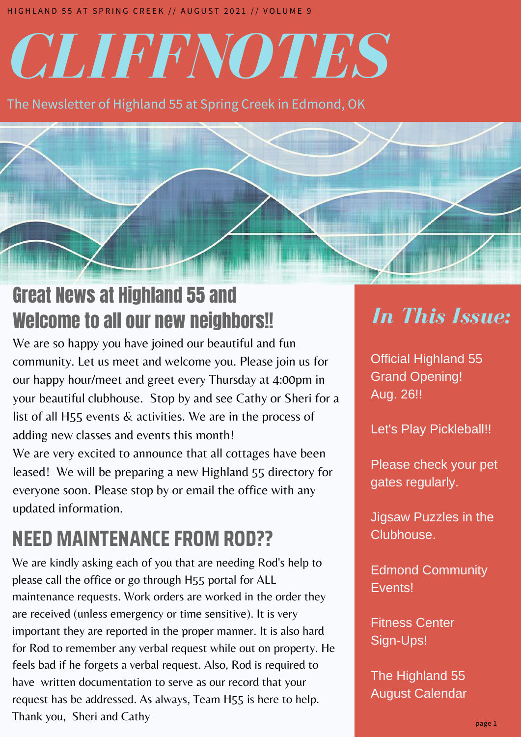# *CLIFFNOTES*

The Newsletter of Highland 55 at Spring Creek in Edmond, OK

# Great News at Highland 55 and Welcome to all our new neighbors!!

We are so happy you have joined our beautiful and fun community. Let us meet and welcome you. Please join us for our happy hour/meet and greet every Thursday at 4:00pm in your beautiful clubhouse. Stop by and see Cathy or Sheri for a list of all H55 events & activities. We are in the process of adding new classes and events this month! We are very excited to announce that all cottages have been leased! We will be preparing a new Highland 55 directory for everyone soon. Please stop by or email the office with any updated information.

# **NEED MAINTENANCE FROM ROD??**

We are kindly asking each of you that are needing Rod's help to please call the office or go through H55 portal for ALL maintenance requests. Work orders are worked in the order they are received (unless emergency or time sensitive). It is very important they are reported in the proper manner. It is also hard for Rod to remember any verbal request while out on property. He feels bad if he forgets a verbal request. Also, Rod is required to have written documentation to serve as our record that your request has be addressed. As always, Team H55 is here to help. Thank you, Sheri and Cathy

# *In This Issue:*

*IN THIS ISSUE:* Official Highland 55 Grand Opening! Aug. 26!!

Let's Play Pickleball!!

gates regularly. Please check your pet

Jigsaw Puzzles in the Clubhouse.

Edmond! Edmond Community Events!

Calendario Calendario Calendario Calendario da La Fitness Center Sign-Ups!

The Highland 55 August Calendar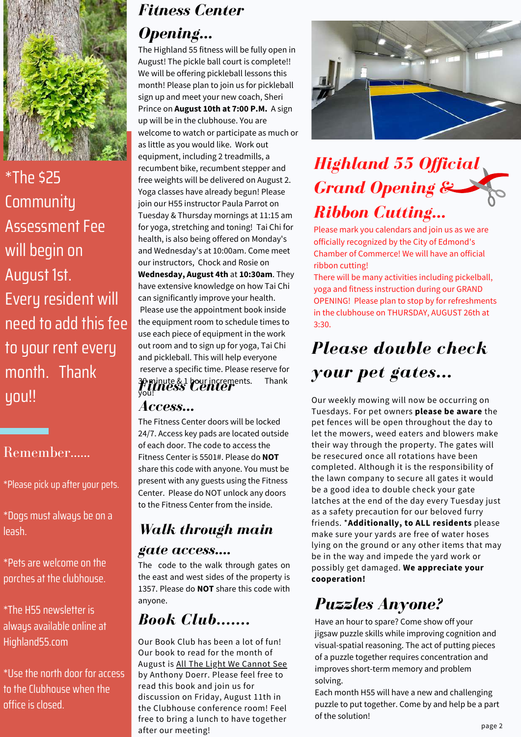

\*The \$25 **Community** Assessment Fee will begin on August 1st. Every resident will need to add this fee to your rent every month. Thank you!!

## Remember......

\*Please pick up after your pets.

\*Dogs must always be on a leash.

\*Pets are welcome on the porches at the clubhouse.

\*The H55 newsletter is always available online at Highland55.com

\*Use the north door for access to the Clubhouse when the office is closed.

## *Fitness Center Opening...*

The Highland 55 fitness will be fully open in August! The pickle ball court is complete!! We will be offering pickleball lessons this month! Please plan to join us for pickleball sign up and meet your new coach, Sheri Prince on **August 10th at 7:00 P.M.** A sign up will be in the clubhouse. You are welcome to watch or participate as much or as little as you would like. Work out equipment, including 2 treadmills, a recumbent bike, recumbent stepper and free weights will be delivered on August 2. Yoga classes have already begun! Please join our H55 instructor Paula Parrot on Tuesday & Thursday mornings at 11:15 am for yoga, stretching and toning! Tai Chi for health, is also being offered on Monday's and Wednesday's at 10:00am. Come meet our instructors, Chock and Rosie on **Wednesday, August 4th** at **10:30am**. They have extensive knowledge on how Tai Chi can significantly improve your health. Please use the appointment book inside the equipment room to schedule times to use each piece of equipment in the work out room and to sign up for yoga, Tai Chi and pickleball. This will help everyone reserve a specific time. Please reserve for 30 minute & 1 hour increments. Thank you! *Fitness Center*

## *Access...*

The Fitness Center doors will be locked 24/7. Access key pads are located outside of each door. The code to access the Fitness Center is 5501#. Please do **NOT** share this code with anyone. You must be present with any guests using the Fitness Center. Please do NOT unlock any doors to the Fitness Center from the inside.

# *Walk through main*

#### *gate access....*

The code to the walk through gates on the east and west sides of the property is 1357. Please do **NOT** share this code with anyone.

## *Book Club.......*

Our Book Club has been a lot of fun! Our book to read for the month of August is All The Light We Cannot See by Anthony Doerr. Please feel free to read this book and join us for discussion on Friday, August 11th in the Clubhouse conference room! Feel free to bring a lunch to have together after our meeting!



# *Highland 55 Of icial Grand Opening & Ribbon Cutting...*

Please mark you calendars and join us as we are officially recognized by the City of Edmond's Chamber of Commerce! We will have an official ribbon cutting!

There will be many activities including pickelball, yoga and fitness instruction during our GRAND OPENING! Please plan to stop by for refreshments in the clubhouse on THURSDAY, AUGUST 26th at 3:30.

# *Please double check your pet gates...*

Our weekly mowing will now be occurring on Tuesdays. For pet owners **please be aware** the pet fences will be open throughout the day to let the mowers, weed eaters and blowers make their way through the property. The gates will be resecured once all rotations have been completed. Although it is the responsibility of the lawn company to secure all gates it would be a good idea to double check your gate latches at the end of the day every Tuesday just as a safety precaution for our beloved furry friends. \***Additionally, to ALL residents** please make sure your yards are free of water hoses lying on the ground or any other items that may be in the way and impede the yard work or possibly get damaged. **We appreciate your cooperation!**

## *Puzzles Anyone?*

Have an hour to spare? Come show off your jigsaw puzzle skills while improving cognition and visual-spatial reasoning. The act of putting pieces of a puzzle together requires concentration and improves short-term memory and problem solving.

Each month H55 will have a new and challenging puzzle to put together. Come by and help be a part of the solution!